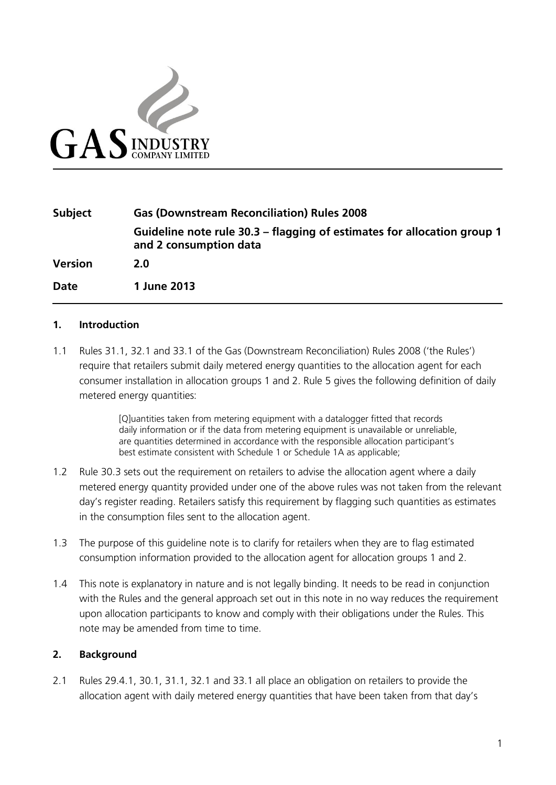

# **Subject Gas (Downstream Reconciliation) Rules 2008 Guideline note rule 30.3 – flagging of estimates for allocation group 1 and 2 consumption data Version 2.0 Date 1 June 2013**

#### **1. Introduction**

1.1 Rules 31.1, 32.1 and 33.1 of the Gas (Downstream Reconciliation) Rules 2008 ('the Rules') require that retailers submit daily metered energy quantities to the allocation agent for each consumer installation in allocation groups 1 and 2. Rule 5 gives the following definition of daily metered energy quantities:

> [Q]uantities taken from metering equipment with a datalogger fitted that records daily information or if the data from metering equipment is unavailable or unreliable, are quantities determined in accordance with the responsible allocation participant's best estimate consistent with Schedule 1 or Schedule 1A as applicable;

- 1.2 Rule 30.3 sets out the requirement on retailers to advise the allocation agent where a daily metered energy quantity provided under one of the above rules was not taken from the relevant day's register reading. Retailers satisfy this requirement by flagging such quantities as estimates in the consumption files sent to the allocation agent.
- 1.3 The purpose of this guideline note is to clarify for retailers when they are to flag estimated consumption information provided to the allocation agent for allocation groups 1 and 2.
- 1.4 This note is explanatory in nature and is not legally binding. It needs to be read in conjunction with the Rules and the general approach set out in this note in no way reduces the requirement upon allocation participants to know and comply with their obligations under the Rules. This note may be amended from time to time.

### **2. Background**

2.1 Rules 29.4.1, 30.1, 31.1, 32.1 and 33.1 all place an obligation on retailers to provide the allocation agent with daily metered energy quantities that have been taken from that day's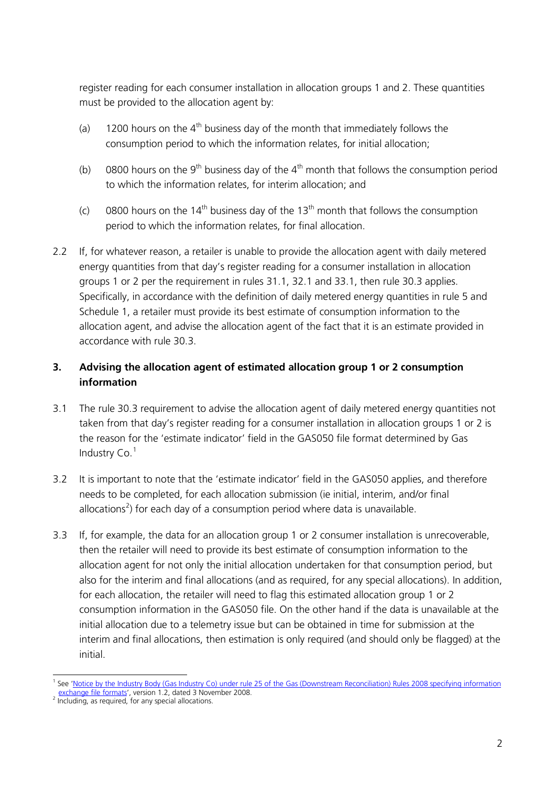register reading for each consumer installation in allocation groups 1 and 2. These quantities must be provided to the allocation agent by:

- (a) 1200 hours on the  $4<sup>th</sup>$  business day of the month that immediately follows the consumption period to which the information relates, for initial allocation;
- (b) 0800 hours on the 9<sup>th</sup> business day of the 4<sup>th</sup> month that follows the consumption period to which the information relates, for interim allocation; and
- (c) 0800 hours on the 14<sup>th</sup> business day of the 13<sup>th</sup> month that follows the consumption period to which the information relates, for final allocation.
- 2.2 If, for whatever reason, a retailer is unable to provide the allocation agent with daily metered energy quantities from that day's register reading for a consumer installation in allocation groups 1 or 2 per the requirement in rules 31.1, 32.1 and 33.1, then rule 30.3 applies. Specifically, in accordance with the definition of daily metered energy quantities in rule 5 and Schedule 1, a retailer must provide its best estimate of consumption information to the allocation agent, and advise the allocation agent of the fact that it is an estimate provided in accordance with rule 30.3.

# **3. Advising the allocation agent of estimated allocation group 1 or 2 consumption information**

- 3.1 The rule 30.3 requirement to advise the allocation agent of daily metered energy quantities not taken from that day's register reading for a consumer installation in allocation groups 1 or 2 is the reason for the 'estimate indicator' field in the GAS050 file format determined by Gas Industry  $Co.<sup>1</sup>$  $Co.<sup>1</sup>$  $Co.<sup>1</sup>$
- 3.2 It is important to note that the 'estimate indicator' field in the GAS050 applies, and therefore needs to be completed, for each allocation submission (ie initial, interim, and/or final allocations<sup>[2](#page-1-1)</sup>) for each day of a consumption period where data is unavailable.
- 3.3 If, for example, the data for an allocation group 1 or 2 consumer installation is unrecoverable, then the retailer will need to provide its best estimate of consumption information to the allocation agent for not only the initial allocation undertaken for that consumption period, but also for the interim and final allocations (and as required, for any special allocations). In addition, for each allocation, the retailer will need to flag this estimated allocation group 1 or 2 consumption information in the GAS050 file. On the other hand if the data is unavailable at the initial allocation due to a telemetry issue but can be obtained in time for submission at the interim and final allocations, then estimation is only required (and should only be flagged) at the initial.

<span id="page-1-0"></span> <sup>1</sup> See ['Notice by the Industry Body \(Gas Industry Co\) under rule 25 of the Gas \(Downstream Reconciliation\) Rules 2008 specifying information](http://www.gasindustry.co.nz/sites/default/files/u21/File_formats_notice_v1.2_final_148466.1.pdf)  [exchange file formats'](http://www.gasindustry.co.nz/sites/default/files/u21/File_formats_notice_v1.2_final_148466.1.pdf), version 1.2, dated 3 November 2008.<br><sup>2</sup> Including, as required, for any special allocations.

<span id="page-1-1"></span>